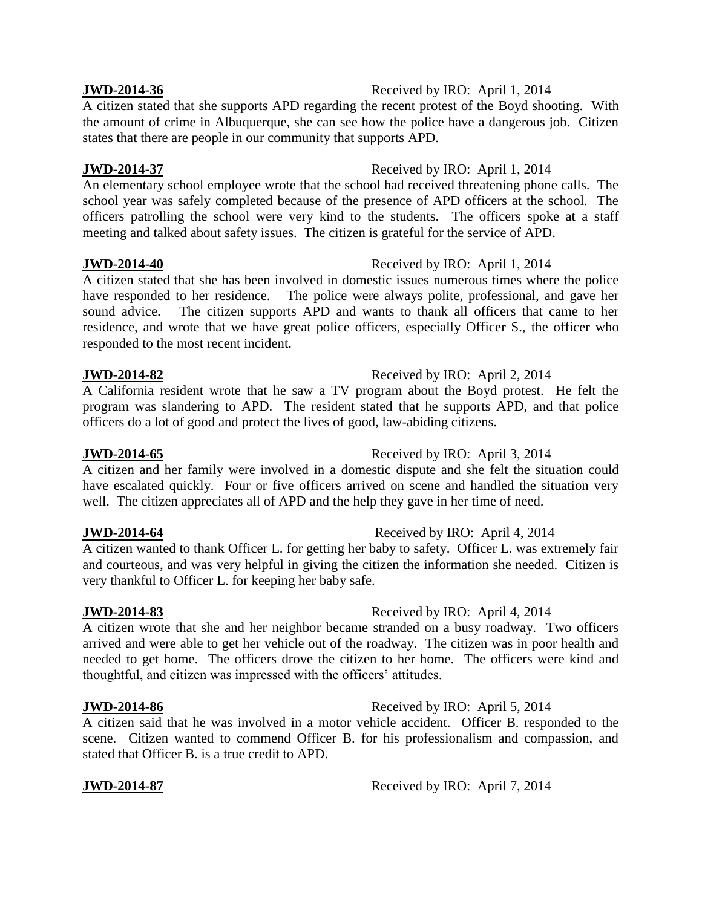# **JWD-2014-36** Received by IRO: April 1, 2014

A citizen stated that she supports APD regarding the recent protest of the Boyd shooting. With the amount of crime in Albuquerque, she can see how the police have a dangerous job. Citizen states that there are people in our community that supports APD.

# **JWD-2014-37** Received by IRO: April 1, 2014

An elementary school employee wrote that the school had received threatening phone calls. The school year was safely completed because of the presence of APD officers at the school. The officers patrolling the school were very kind to the students. The officers spoke at a staff meeting and talked about safety issues. The citizen is grateful for the service of APD.

# **JWD-2014-40** Received by IRO: April 1, 2014

A citizen stated that she has been involved in domestic issues numerous times where the police have responded to her residence. The police were always polite, professional, and gave her sound advice. The citizen supports APD and wants to thank all officers that came to her residence, and wrote that we have great police officers, especially Officer S., the officer who responded to the most recent incident.

# **JWD-2014-82** Received by IRO: April 2, 2014

A California resident wrote that he saw a TV program about the Boyd protest. He felt the program was slandering to APD. The resident stated that he supports APD, and that police officers do a lot of good and protect the lives of good, law-abiding citizens.

A citizen and her family were involved in a domestic dispute and she felt the situation could have escalated quickly. Four or five officers arrived on scene and handled the situation very well. The citizen appreciates all of APD and the help they gave in her time of need.

A citizen wanted to thank Officer L. for getting her baby to safety. Officer L. was extremely fair and courteous, and was very helpful in giving the citizen the information she needed. Citizen is very thankful to Officer L. for keeping her baby safe.

A citizen wrote that she and her neighbor became stranded on a busy roadway. Two officers arrived and were able to get her vehicle out of the roadway. The citizen was in poor health and needed to get home. The officers drove the citizen to her home. The officers were kind and thoughtful, and citizen was impressed with the officers' attitudes.

# **JWD-2014-86** Received by IRO: April 5, 2014

A citizen said that he was involved in a motor vehicle accident. Officer B. responded to the scene. Citizen wanted to commend Officer B. for his professionalism and compassion, and stated that Officer B. is a true credit to APD.

**JWD-2014-87** Received by IRO: April 7, 2014

# **JWD-2014-64** Received by IRO: April 4, 2014

### **JWD-2014-83** Received by IRO: April 4, 2014

# **JWD-2014-65** Received by IRO: April 3, 2014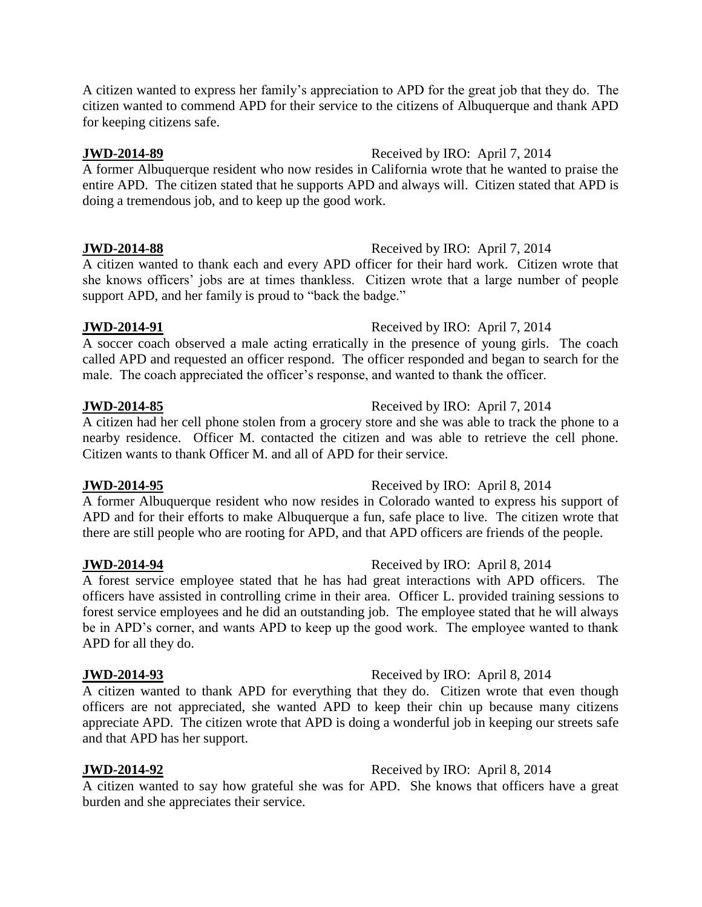A citizen wanted to express her family's appreciation to APD for the great job that they do. The citizen wanted to commend APD for their service to the citizens of Albuquerque and thank APD for keeping citizens safe.

### **JWD-2014-89** Received by IRO: April 7, 2014

A former Albuquerque resident who now resides in California wrote that he wanted to praise the entire APD. The citizen stated that he supports APD and always will. Citizen stated that APD is doing a tremendous job, and to keep up the good work.

### **JWD-2014-88** Received by IRO: April 7, 2014

A citizen wanted to thank each and every APD officer for their hard work. Citizen wrote that she knows officers' jobs are at times thankless. Citizen wrote that a large number of people support APD, and her family is proud to "back the badge."

### **JWD-2014-91** Received by IRO: April 7, 2014

A soccer coach observed a male acting erratically in the presence of young girls. The coach called APD and requested an officer respond. The officer responded and began to search for the male. The coach appreciated the officer's response, and wanted to thank the officer.

A citizen had her cell phone stolen from a grocery store and she was able to track the phone to a nearby residence. Officer M. contacted the citizen and was able to retrieve the cell phone. Citizen wants to thank Officer M. and all of APD for their service.

A former Albuquerque resident who now resides in Colorado wanted to express his support of APD and for their efforts to make Albuquerque a fun, safe place to live. The citizen wrote that there are still people who are rooting for APD, and that APD officers are friends of the people.

### **JWD-2014-94** Received by IRO: April 8, 2014

A forest service employee stated that he has had great interactions with APD officers. The officers have assisted in controlling crime in their area. Officer L. provided training sessions to forest service employees and he did an outstanding job. The employee stated that he will always be in APD's corner, and wants APD to keep up the good work. The employee wanted to thank APD for all they do.

### **JWD-2014-93** Received by IRO: April 8, 2014

A citizen wanted to thank APD for everything that they do. Citizen wrote that even though officers are not appreciated, she wanted APD to keep their chin up because many citizens appreciate APD. The citizen wrote that APD is doing a wonderful job in keeping our streets safe and that APD has her support.

# **JWD-2014-92** Received by IRO: April 8, 2014

A citizen wanted to say how grateful she was for APD. She knows that officers have a great burden and she appreciates their service.

### **JWD-2014-95** Received by IRO: April 8, 2014

# **JWD-2014-85** Received by IRO: April 7, 2014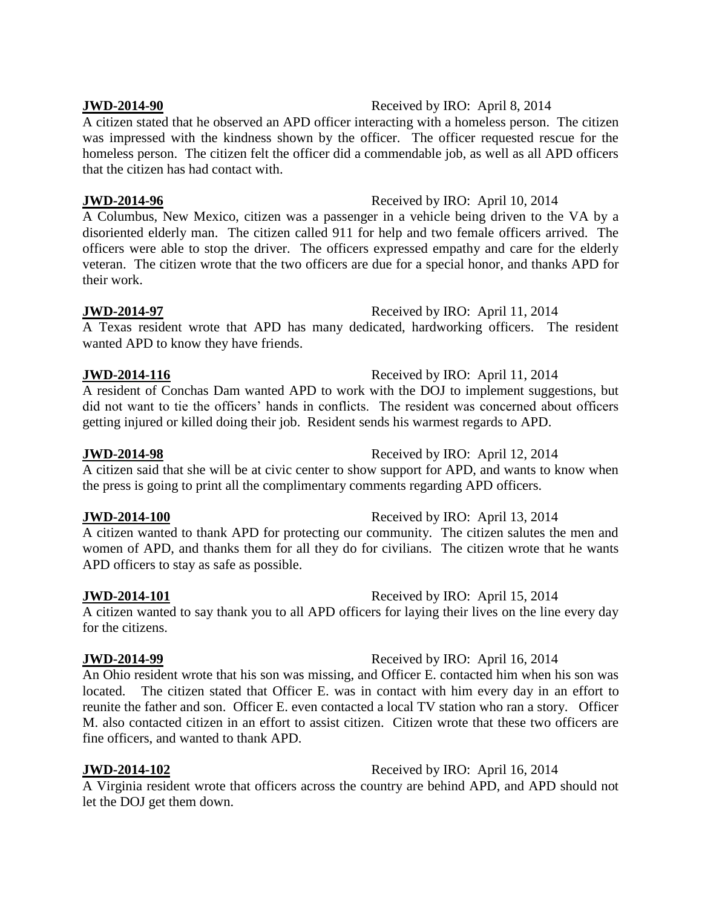# **JWD-2014-90** Received by IRO: April 8, 2014

A citizen stated that he observed an APD officer interacting with a homeless person. The citizen was impressed with the kindness shown by the officer. The officer requested rescue for the homeless person. The citizen felt the officer did a commendable job, as well as all APD officers that the citizen has had contact with.

# **JWD-2014-96** Received by IRO: April 10, 2014

A Columbus, New Mexico, citizen was a passenger in a vehicle being driven to the VA by a disoriented elderly man. The citizen called 911 for help and two female officers arrived. The officers were able to stop the driver. The officers expressed empathy and care for the elderly veteran. The citizen wrote that the two officers are due for a special honor, and thanks APD for their work.

# **JWD-2014-97** Received by IRO: April 11, 2014

A Texas resident wrote that APD has many dedicated, hardworking officers. The resident wanted APD to know they have friends.

# **JWD-2014-116** Received by IRO: April 11, 2014

A resident of Conchas Dam wanted APD to work with the DOJ to implement suggestions, but did not want to tie the officers' hands in conflicts. The resident was concerned about officers getting injured or killed doing their job. Resident sends his warmest regards to APD.

A citizen said that she will be at civic center to show support for APD, and wants to know when the press is going to print all the complimentary comments regarding APD officers.

A citizen wanted to thank APD for protecting our community. The citizen salutes the men and women of APD, and thanks them for all they do for civilians. The citizen wrote that he wants APD officers to stay as safe as possible.

**JWD-2014-101** Received by IRO: April 15, 2014 A citizen wanted to say thank you to all APD officers for laying their lives on the line every day for the citizens.

### **JWD-2014-99** Received by IRO: April 16, 2014

An Ohio resident wrote that his son was missing, and Officer E. contacted him when his son was located. The citizen stated that Officer E. was in contact with him every day in an effort to reunite the father and son. Officer E. even contacted a local TV station who ran a story. Officer M. also contacted citizen in an effort to assist citizen. Citizen wrote that these two officers are fine officers, and wanted to thank APD.

**JWD-2014-102** Received by IRO: April 16, 2014

A Virginia resident wrote that officers across the country are behind APD, and APD should not let the DOJ get them down.

# **JWD-2014-98** Received by IRO: April 12, 2014

**JWD-2014-100** Received by IRO: April 13, 2014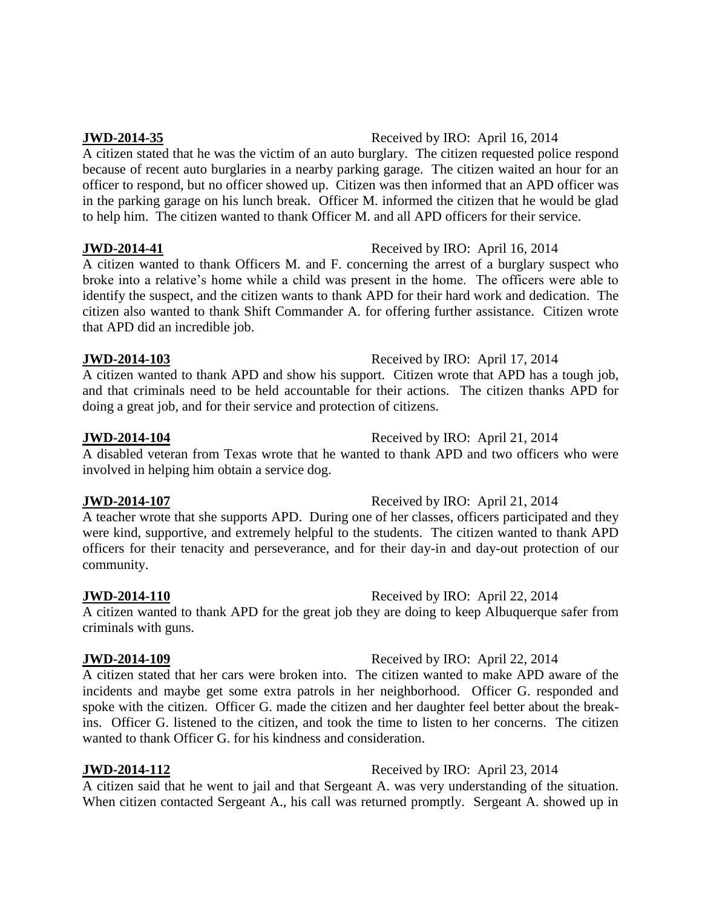# **JWD-2014-35** Received by IRO: April 16, 2014

A citizen stated that he was the victim of an auto burglary. The citizen requested police respond because of recent auto burglaries in a nearby parking garage. The citizen waited an hour for an officer to respond, but no officer showed up. Citizen was then informed that an APD officer was in the parking garage on his lunch break. Officer M. informed the citizen that he would be glad to help him. The citizen wanted to thank Officer M. and all APD officers for their service.

### **JWD-2014-41** Received by IRO: April 16, 2014

A citizen wanted to thank Officers M. and F. concerning the arrest of a burglary suspect who broke into a relative's home while a child was present in the home. The officers were able to identify the suspect, and the citizen wants to thank APD for their hard work and dedication. The citizen also wanted to thank Shift Commander A. for offering further assistance. Citizen wrote that APD did an incredible job.

### **JWD-2014-103** Received by IRO: April 17, 2014

A citizen wanted to thank APD and show his support. Citizen wrote that APD has a tough job, and that criminals need to be held accountable for their actions. The citizen thanks APD for doing a great job, and for their service and protection of citizens.

A disabled veteran from Texas wrote that he wanted to thank APD and two officers who were involved in helping him obtain a service dog.

A teacher wrote that she supports APD. During one of her classes, officers participated and they were kind, supportive, and extremely helpful to the students. The citizen wanted to thank APD officers for their tenacity and perseverance, and for their day-in and day-out protection of our community.

A citizen wanted to thank APD for the great job they are doing to keep Albuquerque safer from criminals with guns.

### **JWD-2014-109** Received by IRO: April 22, 2014

A citizen stated that her cars were broken into. The citizen wanted to make APD aware of the incidents and maybe get some extra patrols in her neighborhood. Officer G. responded and spoke with the citizen. Officer G. made the citizen and her daughter feel better about the breakins. Officer G. listened to the citizen, and took the time to listen to her concerns. The citizen wanted to thank Officer G. for his kindness and consideration.

# **JWD-2014-112** Received by IRO: April 23, 2014

A citizen said that he went to jail and that Sergeant A. was very understanding of the situation. When citizen contacted Sergeant A., his call was returned promptly. Sergeant A. showed up in

### **JWD-2014-104** Received by IRO: April 21, 2014

### **JWD-2014-107** Received by IRO: April 21, 2014

# **JWD-2014-110** Received by IRO: April 22, 2014